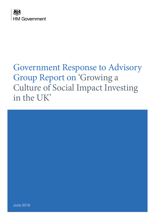

# Government Response to Advisory Group Report on 'Growing a Culture of Social Impact Investing in the UK'



June 2018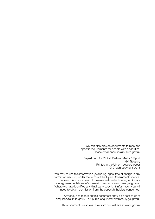We can also provide documents to meet the specific requirements for people with disabilities. Please email enquiries@culture.gov.uk

Department for Digital, Culture, Media & Sport HM Treasury Printed in the UK on recycled paper © Crown copyright 2018

You may re-use this information (excluding logos) free of charge in any format or medium, under the terms of the Open Government Licence. To view this licence, visit http://www.nationalarchives.gov.uk/doc/ open-government-licence/ or e-mail: psi@nationalarchives.gsi.gov.uk. Where we have identified any third party copyright information you will need to obtain permission from the copyright holders concerned.

Any enquiries regarding this document should be sent to us at enquiries@culture.gov.uk or public.enquiries@hmtreasury.gsi.gov.uk

This document is also available from our website at www.gov.uk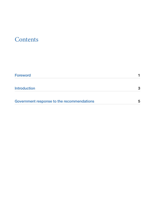## **Contents**

| <b>Foreword</b>                            |   |
|--------------------------------------------|---|
| <b>Introduction</b>                        | 3 |
| Government response to the recommendations | 5 |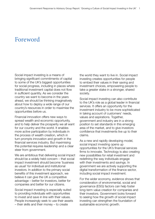## Foreword

Social impact investing is a means of bringing significant commitments of capital to some of the UK's biggest opportunities for social progress, including in places where traditional investment capital does not flow in sufficient quantity. As we consider the country we want to become in the years ahead, we should be thinking imaginatively about how to deploy a wide range of our country's resources in order to maximise the opportunities before us.

Financial innovation offers new ways to spread wealth and economic opportunity, and to help deliver the prosperity we all want for our country and the world. It enables more active participation by individuals in the process of wealth creation, which in turn prompts innovation and growth in the financial services industry. But maximising this potential requires leadership and a clear steer from government.

We are ambitious that delivering social impact should be a widely held concern – that social impact investment should become 'business as usual' for individual and institutional investors. In addition to the primary social benefits of this investment approach, we believe it can give the UK a competitive advantage – better for investors, better for companies and better for our citizens.

Social impact investing is especially suited to providing individuals with opportunities to invest and save in line with their values. People increasingly seek to use their assets – their skills and their money – to create

the world they want to live in. Social impact investing creates opportunities for people to embed their values in their saving and investment choices, empowering people to take a greater stake in a stronger, shared society.

Social impact investing can also contribute to the UK's role as a global leader in financial services. It offers an opportunity for the investment industry to be more sophisticated in taking account of customers' needs, values and aspirations. Together, government and industry are in a strong position to set standards in this emerging area of the market, and to give investors confidence that investments live up to their claims.

As a new and rapidly developing model, social impact investing opens up opportunities for the UK's financial services firms to innovate. Technology is also creating new possibilities for retail investment and redefining the way individuals engage with their investments and savings. In government we are actively supporting the digital transformation of the finance sector, including social impact investment.

For the wider economy, evidence shows that consideration of environmental, social and governance (ESG) factors can help foster long-term value creation for companies and their investors. Government looks forward to seeing how the growth of social impact investing can strengthen the foundation of sustainable economic growth.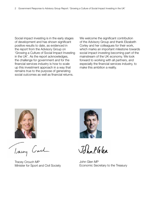Social impact investing is in the early stages of development and has shown significant positive results to date, as evidenced in the report from the Advisory Group on 'Growing a Culture of Social Impact Investing in the UK'. As the report acknowledges, the challenge for government and for the financial services industry is how to scale up this investment approach in a way that remains true to the purpose of generating social outcomes as well as financial returns.

We welcome the significant contribution of the Advisory Group and thank Elizabeth Corley and her colleagues for their work, which marks an important milestone towards social impact investing becoming part of the mainstream of the UK economy. We look forward to working with all partners, and especially the financial services industry, to make this ambition a reality.



Trong Carl

Tracey Crouch MP Minister for Sport and Civil Society



John PGER

John Glen MP Economic Secretary to the Treasury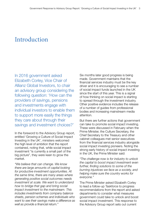## Introduction

In 2016 government asked Elizabeth Corley, Vice Chair of Allianz Global Investors, to chair an advisory group considering the following question: 'How can the providers of savings, pensions and investments engage with individual investors to enable them to support more easily the things they care about through their savings and investment choices?'

In the foreword to the Advisory Group report, entitled 'Growing a Culture of Social Impact Investing in the UK', ministers welcomed the high level of ambition that the report contained, noting that, while social impact investment "is currently a small part of the big picture", they were keen to grow the market.

*"We believe that can change. We know there are large amounts of capital looking for productive investment opportunities. At the same time, there are many areas where generating positive social outcomes needs investment at scale. We want to understand how to bridge that gap and bring social impact investment to the mainstream. This includes investments from company balance sheets, pension schemes and individuals who want to see their savings make a difference as well as provide a financial return."*

Six months later good progress is being made. Government maintains that the financial services industry must be the key driver and it is encouraging to see a number of social impact funds launched in the UK since the start of this year. This is a signal of how thinking on social impact is starting to spread through the investment industry. Other positive evidence includes the release of a number of guides from professional bodies and increasing mainstream media attention.

But there are further actions that government can take to promote social impact investing. These were discussed in February when the Prime Minister, the Culture Secretary, the Chief Secretary to the Treasury and other cabinet colleagues met senior executives from the financial services industry alongside social impact investing pioneers. Noting the strong early history of social impact investing in the UK, the Prime Minister said:

*"The challenge now is for industry to unlock the capital to boost impact investment even further, finding solutions to some of the burning injustices we face as a society, and helping make sure the country works for everyone."*

The Prime Minister asked Elizabeth Corley to lead a follow-up Taskforce to progress recommendations from the report and asked departments to consider what measures government could take to unlock and boost social impact investment. This response to the Advisory Group report sets out current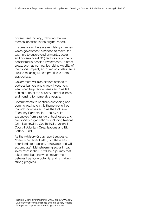government thinking, following the five themes identified in the original report.

In some areas there are regulatory changes which government is minded to make, for example to ensure environmental, social and governance (ESG) factors are properly considered in pension investments. In other areas, such as companies raising visibility of their social impact, encouraging coalescence around meaningful best practice is more appropriate.

Government will also explore actions to address barriers and unlock investment, which can help tackle issues such as left behind parts of the country, homelessness, and housing for vulnerable people.

Commitments to continue convening and communicating on this theme are fulfilled through initiatives such as the Inclusive Economy Partnership<sup> $1$ </sup> – led by chief executives from a range of businesses and civil society organisations, including National Grid, Nationwide, O2, TechUK, National Council Voluntary Organisations and Big Lottery Fund.

As the Advisory Group report suggests, "there is no 'silver bullet', but the areas prioritised are practical, achievable and will accumulate". Mainstreaming social impact investment in the UK will be a journey that takes time, but one which government believes has huge potential and is making strong progress.

<sup>1</sup> Inclusive Economy Partnership, 2017, https://www.gov. uk/government/news/business-and-civil-society-leadersform-partnership-to-tackle-challenges-in-society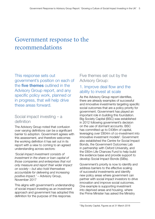## Government response to the recommendations

This response sets out government's position on each of the five themes outlined in the Advisory Group report, and any specific policy work, planned or in progress, that will help drive these areas forward.

### Social impact investing – a definition

The Advisory Group noted that confusion over varying definitions can be a significant barrier to adoption. Government agrees with this assessment, and therefore welcomes the working definition it has set out in its report with a view to coming to an agreed understanding across sectors:

*'Social impact investment consists of investment in the share or loan capital of those companies and enterprises that not only measure and report their wider impact on society – but also hold themselves accountable for delivering and increasing positive impact.'* – Advisory Group, November 2017

This aligns with government's understanding of social impact investing as an investment approach and government has adopted this definition for the purpose of this response.

## Five themes set out by the Advisory Group:

## 1. Improve deal flow and the ability to invest at scale

As the Advisory Group report identifies, there are already examples of successful and innovative investments targeting specific social outcomes that are a policy priority for government. Government has played an important role in building this foundation. Big Society Capital (BSC) was established in 2012 following government's decision on the use of dormant accounts. BSC has committed up to £436m of capital, leveraging over £804m of co-investment into innovative investment models<sup>2</sup>. Government also established the Centre for Social Impact Bonds, the Government Outcomes Lab in partnership with Oxford University, and the £80m Life Chances Fund to help build the evidence base and provide support to develop Social Impact Bonds (SIBs).

Government's priority is now to identify and address barriers to the effective scaling of successful investments and identify new policy areas where government can partner with social impact investors to drive innovation and improve social outcomes. One example is supporting investment into deprived areas and housing, where the Prime Minister has asked the Ministry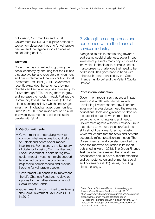of Housing, Communities and Local Government (MHCLG) to explore options to tackle homelessness, housing for vulnerable people, and the regeneration of places at risk of falling behind.

#### Taxation

Government is committed to growing the social economy by ensuring that the UK has a supportive tax and regulatory environment, and has implemented the world's first Social Investment Tax Relief (SITR). Government recently expanded the scheme, allowing charities and social enterprises to raise up to £1.5m through SITR, helping them to grow and increase their social impact. Further, the Community Investment Tax Relief (CITR) is a long-standing initiative which encourages investment in disadvantaged communities. Since 2002 CITR has raised around £145m in private investment and will continue in parallel with SITR.

#### HMG Commitments:

- Government is undertaking work to consider what measures it could take to unlock and boost social impact investment. For instance, the Secretary of State for Housing, Communities and Local Government is considering how social impact investment might support left-behind parts of the country, and help tackle homelessness and provide housing for vulnerable people.
- Government will continue to implement the Life Chances Fund and to develop options for the further development of Social Impact Bonds.
- Government has committed to reviewing the Social Investment Tax Relief (SITR) in 2019.

### 2. Strengthen competence and confidence within the financial services industry

Alongside its role in contributing towards addressing social challenges, social impact investment presents many opportunities for innovation in the financial services sector. It also presents challenges that need to be addressed. This goes hand in hand with other such areas identified by the Green Finance Taskforce<sup>3</sup> and the Patient Capital Review<sup>4</sup>.

#### Professional education

Government recognises that social impact investing is a relatively new yet rapidly developing investment strategy. Therefore, investment professionals need the relevant educational tools and guidance to develop the expertise that allows them to best serve their clients' interests and needs. Government agrees with the Advisory Group that efforts to improve these professional skills should be primarily led by industry, which will ensure that the tools and content accurately reflect practitioners' needs. The Green Finance Taskforce also identified the need for improved education in its report published in March 2018. The Green Finance Taskforce further stressed that investment consultants should have sufficient expertise and competence on environmental, social and governance (ESG) issues, including climate change.

<sup>&</sup>lt;sup>3</sup> Green Finance Taskforce Report 'Accelerating green finance: Green Finance Taskforce report', 2018, https://www.gov.uk/government/publications/acceleratinggreen-finance-green-finance-taskforce-report

<sup>4</sup> HM Treasury, Financing growth in innovative firms, 2017, https://www.gov.uk/government/consultations/financinggrowth-in-innovative-firms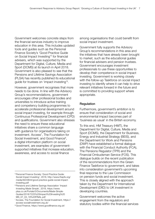Government welcomes concrete steps from the financial services industry to improve education in this area. This includes updated tools and guides such as the Personal Finance Society's 'Good Practice Guide on Social Impact Investing'5 for financial advisers, which was supported by the Department for Digital, Culture, Media and Sport (DCMS) at its launch in April 2018. Government is also pleased to see that the Pensions and Lifetime Savings Association (PLSA) has recently published its educational guide for trustees on 'impact investing'6.

However, government recognises that more needs to be done. In line with the Advisory Group's recommendations, government encourages other professional bodies and universities to introduce active training and competency building programmes to accelerate professional development around social impact investing, for example through Continuous Professional Development (CPD) and qualifications. Government also stresses the need to ensure these educational initiatives share a common language with guidance for organisations taking on investment. Access<sup>7</sup>, The Foundation for Social Investment, and Good Finance<sup>8</sup>, a digital information platform on social investment, are examples of governmentsupported initiatives that increase education, awareness, and access to social finance

among organisations that could benefit from social impact investment.

Government fully supports the Advisory Group's recommendations in this area and the initiatives that have already been brought to market, such as the educational guides for financial advisers and pension trustees. Government encourages investment professionals to use these opportunities to develop their competence in social impact investing. Government is working closely with the follow-up Taskforce on social impact investing to identify where it can help to drive relevant initiatives forward in the future and is committed to providing support where appropriate.

#### **Regulation**

Furthermore, government's ambition is to ensure that consideration of social and environmental impact becomes part of 'business as usual' in the British economy.

To this end, HM Treasury (HMT), the Department for Digital, Culture, Media and Sport (DCMS), the Department for Business, Energy and Industrial Strategy (BEIS), and the Department for Work and Pensions (DWP) have established a formal dialogue with the Financial Conduct Authority (FCA), The Pensions Regulator (TPR) and the Financial Ombudsman Service (FOS). This dialogue builds on the recent publication of the recommendations from the Green Finance Taskforce to government, and takes into consideration government's upcoming final response to the Law Commission on pension funds and social investment. This is closely aligned with the approach taken by the Department for International Development (DfID) to UK investment in developing countries.

Government welcomes the active engagement from the regulators and statutory bodies within the financial services

<sup>5</sup> Personal Finance Society 'Good Practice Guide: Social Impact Investing', 2018, http://www.thepfs.org/ media/9223844/good-practice-guide-social-impactinvesting.pdf

<sup>6</sup> Pensions and Lifetime Savings Association 'Impact Investing Made Simple', 2018, https://www. plsa.co.uk/Portals/0/Documents/Made-Simple-Guides/2018/7225%20Impact%20Investing%20 MS\_07\_03\_18%20FINAL.pdf

<sup>7</sup> Access, The Foundation for Social Investment, https:// access-socialinvestment.org.uk/

<sup>8</sup> Good Finance, https://www.goodfinance.org.uk/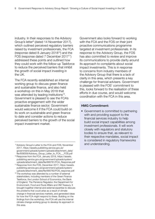industry. In their responses to the Advisory Group's letter<sup>9</sup> (dated 14 November 2017), which outlined perceived regulatory barriers raised by investment professionals, the FCA (response dated 8 January 201810) and the FOS (response dated 7 December 201711) addressed these points and outlined how they could work with the follow-up Taskforce to reduce the perceived barriers that inhibit the growth of social impact investing in the UK.

The FCA recently established an internal working group to discuss green finance and sustainable finance, and also held a workshop on this in May 2018 that was attended by leading institutions<sup>12</sup>. Government is pleased to see the FCA's proactive engagement with the wider sustainable finance sector. Government would welcome it if the FCA could build on its work on sustainable and green finance to date and consider actions to reduce perceived barriers to the growth of the social impact investment market.

- 11 Response from the FOS, December 2017, https://assets. publishing.service.gov.uk/government/uploads/system/ uploads/attachment\_data/file/680782/FOS\_response.pdf
- $12$  The workshop was attended by a number of external stakeholders, including members of the Green Finance Taskforce, the London School of Economics, the Bank of England, The Pensions Regulator, the Department for Environment, Food and Rural Affairs and HM Treasury. It brought together internal and external expertise to discuss the problems that could arise as a result of climate change in financial services markets, and generated ideas for how the FCA might respond to these. Building on the findings from the workshop, the FCA will use the internal climate change working group to develop its approach in this area.

Government also looks forward to working with the FCA and the FOS on their joint proactive communications programme targeted at investment professionals. In its response to the Advisory Group, the FOS has also committed to review and improve its communications to provide clarity around its approach to complaints about social impact investments. This is in response to concerns from industry members of the Advisory Group that there is a lack of clarity in this area, which presents a key challenge for financial advisers. Government is pleased with the FOS' commitment to this, looks forward to the realisation of these efforts in due course, and would welcome coordination with the FCA in this area.

#### HMG Commitment:

• Government is committed to partnering with and providing support to the financial services industry to help build social impact capabilities among investment professionals. It will work closely with regulators and statutory bodies to ensure that, as relevant to their respective mandates, social impact is considered in regulatory frameworks

<sup>&</sup>lt;sup>9</sup> Advisory Group's Letter to the FCA and FOS, November **and understanding.** 2017, https://assets.publishing.service.gov.uk/ government/uploads/system/uploads/attachment\_data/ file/659059/Advisory\_Group\_Letter\_to\_FCA\_\_\_FOS.pdf

<sup>10</sup> Response from the FCA, January 2018, https://assets. publishing.service.gov.uk/government/uploads/system/ uploads/attachment\_data/file/680781/FCA\_Response.pdf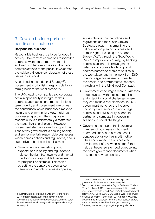## 3. Develop better reporting of non-financial outcomes

#### Responsible business

Responsible business is a force for good in society. Government champions responsible business, wants to promote more of it, and wants to help improve its visibility and communications to the public. It welcomes the Advisory Group's consideration of these issues in its report.

As outlined in the Industrial Strategy<sup>13</sup>, government is prioritising responsible longterm growth for national prosperity.

The UK's leading companies say corporate social responsibility is integral to their business approaches and models for longterm growth, and government welcomes the contribution which businesses make to society and communities. How individual businesses approach their corporate responsibility is fundamentally a matter for them and their shareholders. However, government also has a role to support this. That is why government is backing socially and environmentally responsible businesses widely across policies and regulations, and is supportive of business-led initiatives:

• Government is channelling public expectations in policy and regulation to help set the right frameworks and market conditions for responsible businesses to prosper. For example, it does this by setting the corporate governance framework in which businesses operate;

across climate change policies and regulations and the Clean Growth Strategy; through implementing the national action plan on business and human rights, including the Modern Slavery Act<sup>14</sup>; through the Good Work Plan<sup>15</sup> to improve job quality; by backing business action to improve gender balance in corporate leadership and address barriers to ethnic minorities in the workplace; and in the work from DfID to encourage businesses to consider their social and environmental impacts, including with the UN Global Compact.

- Government encourages more businesses to get involved with their communities and in tackling social challenges where they can make a real difference. In 2017 government launched the Inclusive Economy Partnership<sup>16</sup> to encourage business and civil society leaders to partner and stimulate innovation in solutions to social challenges.
- Government supports the increasing numbers of businesses who want to embed social and environmental purpose alongside their profit motive. It has encouraged the business-led development of a new online tool<sup>17</sup> that helps entrepreneurs embed purpose into their core governance documents when they found new companies.

<sup>14</sup> Modern Slavery Act, 2015, https://www.gov.uk/ government/collections/modern-slavery-bill

<sup>15</sup> Good Work: A response to the Taylor Review of Modern Work Practices, 2018, https://assets.publishing.service. gov.uk/government/uploads/system/uploads/attachment\_ data/file/679765/180206\_BEIS\_Good\_Work\_Report.pdf

<sup>&</sup>lt;sup>13</sup> Industrial Strategy: building a Britain fit for the future, 2017, https://assets.publishing.service.gov.uk/ government/uploads/system/uploads/attachment\_data/ file/664563/industrial-strategy-white-paper-web-readyversion.pdf

<sup>16</sup> Inclusive Economy Partnership, 2017, https://www.gov. uk/government/news/business-and-civil-society-leadersform-partnership-to-tackle-challenges-in-society

<sup>17</sup> Purposely online tool, https://getpurpose.ly/about-us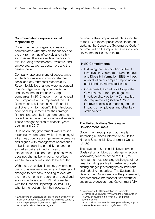#### Communicating corporate social responsibility

Government encourages businesses to communicate what they do for society and the environment as effectively and visibly as possible. There are wide audiences for this, including shareholders, investors, and employees, as well as customers and the general public.

Company reporting is one of several ways in which businesses communicate their social and environmental responsibility. Recent legislative changes were introduced to encourage wider reporting on social and environmental impacts by large companies. In 2016, government amended the Companies Act to implement the EU Directive on Disclosure of Non-Financial and Diversity Information<sup>18</sup>. This introduced additional requirements for the Strategic Reports prepared by large companies to cover their social and environmental impacts. These changes applied to financial years beginning in 2017.

Building on this, government wants to see reporting by companies which is meaningful – i.e. clear, concise and genuinely informative and aligned with management approaches to business planning and risk management, as well as being aligned to investor expectations. "Tick box" compliance, which does not change behaviours, nor of itself lead to real outcomes, should be avoided.

With these objectives in mind, government plans to assess early impacts of these recent changes to company reporting to evaluate the improvements in reporting on social and environmental issues. BEIS will consider with the Financial Reporting Council (FRC) what further action might be necessary. A

number of the companies which responded to the FRC's recent public consultation on updating the Corporate Governance Code19 commented on the importance of social and environmental issues to them.

#### HMG Commitments:

- Following the transposition of the EU Directive on Disclosure of Non-financial and Diversity Information, BEIS will lead an evaluation of company reporting on social and environmental issues.
- Government, as part of its Corporate Governance Reform package, will introduce changes to the Companies Act requirements (Section 172) to improve businesses' reporting on their impacts on employees and other key stakeholders.

#### The United Nations Sustainable Development Goals

Government recognises that there is increasing business interest in the United Nations Sustainable Development Goals  $(SDGs)^{20}$ .

The seventeen Sustainable Development Goals set an ambitious challenge for action worldwide, over the period to 2030, to combat the most pressing challenges of our time, including eradicating extreme poverty, ending hunger, protecting the environment and reducing inequalities. The Sustainable Development Goals are now the pre-eminent, comprehensive international framework for sustainable development. Government fully

<sup>&</sup>lt;sup>18</sup> EU Directive on Disclosure of Non-Financial and Diversity Information, https://ec.europa.eu/info/business-economyeuro/company-reporting-and-auditing/companyreporting/non-financial-reporting\_en

<sup>&</sup>lt;sup>19</sup> Responses to FRC Consultation on Corporate Governance Code, https://www.frc.org.uk/consultationlist/2017/consulting-on-a-revised-uk-corporategovernance-co

<sup>20</sup> United Nations Sustainable Development Goals, https:// sustainabledevelopment.un.org/?menu=1300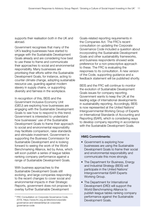supports their realisation both in the UK and abroad.

Government recognises that many of the UK's leading businesses have started to engage with the Sustainable Development Goals already and are considering how best to use these to frame and communicate their approaches to social and environmental responsibility. Many businesses are prioritising their efforts within the Sustainable Development Goals, for instance, acting to counter climate change, adopting sustainable resource use, guarding against modern slavery in supply chains, or supporting diversity and fairness in the workplace.

In recognition of this, BEIS and the Government Inclusive Economy Unit (GIEU) are exploring how businesses are engaging with the Sustainable Development Goals to see how to respond to this trend. Government is interested to understand how businesses' use of the Sustainable Development Goals to frame their approach to social and environmental responsibility may facilitate comparison, raise standards and stimulate investment. Government is supporting the Business Commission for Sustainable Development and is looking forward to seeing the work of the World Benchmarking Alliance, led by Aviva, which will soon publish a series of league tables ranking company performance against a range of Sustainable Development Goals.

With business approaches to the Sustainable Development Goals still evolving, and large companies responding to the recent changes to cover social and environmental impacts in their Strategic Reports, government does not propose to overlay further Sustainable Development

Goals-related reporting requirements in the Companies Act. The FRC's recent consultation on updating the Corporate Governance Code included a question about incorporating the Sustainable Development Goals and other sustainability frameworks, and business respondents showed wide preference for a non-prescriptive approach to these. The FRC is evaluating the responses to its consultation. A new version of the Code, supporting guidance and a feedback statement will be published shortly.

BEIS and the FRC will continue to monitor the evolution of Sustainable Development Goals issues for company reporting. Government wants to keep the UK at the leading edge of international developments in sustainability reporting. Accordingly, BEIS is now represented at the United Nations' Intergovernmental Working Group of Experts on International Standards of Accounting and Reporting (ISAR), which is considering ways to develop company reporting in accordance with the Sustainable Development Goals.

#### HMG Commitments:

- Government is exploring how businesses are using the Sustainable Development Goals to frame their social and environmental responsibility and communicate this more strongly.
- The Department for Business, Energy and Industrial Strategy (BEIS) will participate in the United Nations' Intergovernmental ISAR Experts Working Group.
- The Department for International Development (DfID) will support the World Benchmarking Alliance to publish league tables ranking company performance against the Sustainable Development Goals.

<sup>&</sup>lt;sup>21</sup> FRC Consultation on Corporate Governance Code, 2018, https://www.frc.org.uk/directors/corporategovernance-and-stewardship/uk-corporategovernance-code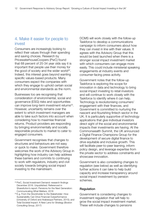### 4. Make it easier for people to invest

Consumers are increasingly looking to reflect their values through their spending and saving choices. Research by PricewaterhouseCoopers (PwC) found that 68 percent of 25-34 year olds say it is important that people use their money for the good of society and the wider world<sup>22</sup>. Indeed, this interest goes beyond wanting specific values-based products. Many consumers expect the companies with which they engage to uphold certain social and environmental standards as the norm.

Businesses too are recognising that consideration of environmental, social and governance (ESG) risks and opportunities can improve long-term investment returns<sup>23</sup>. However, uncertainty remains over the extent to which investment managers are able to take such factors into account when considering how to maximise financial returns. Product providers are responding by bringing environmentally and socially responsible products to market to cater to engaged consumers.

Government recognises that changes to structures and behaviours are not easy or quick to make. Government therefore welcomes the work of the Advisory Group in highlighting how industry can help address these barriers and commits to continuing to work with regulators, industry and civil society towards bringing social impact investing to the mainstream.

DCMS will work closely with the follow-up Taskforce to develop a communications campaign to inform consumers about how they can invest in line with their values. It agrees with the Advisory Group that this would be best launched when there is a stronger social impact investment market with which consumers can engage more easily. This could include ministerial speaking engagements at industry events and consumer-facing press activity.

Government notes that the follow-up Taskforce is exploring the scope for innovation in data and technology to bring social impact investing to retail investors and will continue to work closely with the Taskforce to identify where it can help. Technology is revolutionising consumers' engagement with their finances, and Government is committed to nurturing the nascent and flourishing fintech sector in the UK. It is particularly supportive of technology applications that give individual investors direct sight of the social and environmental impacts their investments are having. At the Commonwealth Summit, the UK announced a Digital Finance Champions Group for the development of secure digital finance to drive equitable and inclusive growth. This will facilitate peer-to-peer learning, inform policy design, and leverage expertise from the private sector to address constraints and showcase innovation.

Government is also considering changes to regulation (see below) as well as identifying further actions it can take to help build capacity and increase transparency around social impact investment by pension schemes.

#### **Regulation**

Government is considering changes to investment regulation that will help to grow the social impact investment market. These will include changes to pensions

<sup>22</sup> PwC, Social Investment Demand: research findings December 2016. Unpublished. Referenced in ShareAction's report: Pensions for the Next Generation: Communicating What Matters, 2018

<sup>&</sup>lt;sup>23</sup> E.g. From the Stockholder to the Stakeholder: How Sustainability Can Drive Financial Outperformance (University of Oxford and Arabesque Partners, 2015); and Total Societal Impact: A New Lens for Strategy (Boston Consulting Group, 2017)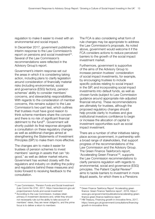regulation to make it easier to invest with an environmental and social impact.

In December 2017, government published its interim response to the Law Commission's report on pensions and social investment $24$ . Several of the Law Commission's recommendations were reflected in the Advisory Group's report.

Government's interim response set out the areas in which it is considering taking action, including plans to clarify legislation around consideration of financially material risks (including environmental, social and governance (ESG) factors), pension schemes' ability to consider members' concerns, and stewardship responsibilities. With regards to the consideration of member concerns, this remains subject to the Law Commission's two-part test, which outlines that trustees must have good reason to think scheme members share the concern and there is no risk of significant financial detriment to the fund<sup>25</sup>. Government will shortly publish its final response alongside a consultation on these regulatory changes as well as additional changes aimed at strengthening the Statements of Investment Principles (SIP) to make them more effective.

The changes aim to make it easier for trustees of pension schemes to invest members' savings in assets that can "do good," as well as deliver market returns. Government has worked closely with the regulators and industry on drafting the policy and regulations behind these measures and looks forward to receiving feedback to the consultation.

The FCA is also considering what form of rule changes may be appropriate to address the Law Commission's proposals. As noted above, government would welcome it if the FCA considers actions to reduce perceived barriers to the growth of the social impact investment market.

Furthermore, government is supportive of the aims of the Advisory Group to increase pension trustees' consideration of social impact investments, for example, by encouraging trustees to include specific policies relating to social impact in the SIP, and incorporating social impact investments into default funds, as well as chosen funds (subject to Law Commission guidance around appropriate risk-adjusted financial returns). These recommendations are ultimately for trustees, although the proposed regulatory changes should help provide clarity to trustees and give institutional investors confidence to begin or increase the allocation of capital to investment opportunities such as social impact investment.

There are a number of other initiatives taking place across government, in partnership with a broad range of stakeholders, that support progress of the recommendations of the Law Commission and the Advisory Group. The Green Finance Taskforce's report, 'Accelerating Green Finance'26, supports the Law Commission recommendations to clarify pensions regulation with regards to environmental, social and governance (ESG) principles. The Patient Capital Review<sup>27</sup> aims to tackle barriers to investment in more illiquid assets, for which there is a Pensions

<sup>24</sup> Law Commission, 'Pension Funds and Social Investment (Law Comm No 374)', 2017, https://www.lawcom.gov.uk/ project/pension-funds-and-social-investment/

<sup>&</sup>lt;sup>25</sup> According to the Law Commission, trustees retain primacy in investment decisions and, whilst they should not necessarily rule out the ability to take account of members' views, they are never obliged to, and the prime focus is to deliver a return to members

<sup>26</sup> Green Finance Taskforce Report 'Accelerating green finance: Green Finance Taskforce report', 2018, https:// www.gov.uk/government/publications/accelerating-greenfinance-green-finance-taskforce-report

<sup>27</sup> HM Treasury, Financing growth in innovative firms, 2017, https://www.gov.uk/government/consultations/financinggrowth-in-innovative-firms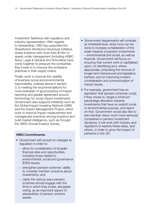Investment Taskforce with regulatory and industry representation. With regards to stewardship, DfID has supported the ShareAction Workforce Disclosure Initiative, where investors with more than \$10trn in assets under management (including HSBC, Aviva, Legal & General and Schroders) have come together to pressure the companies they invest in to improve the workplace practices in their supply chains.

Finally, work to improve the visibility of business social and environmental responsibility, outlined above in section 3, is meeting the recommendations for more examples of good practice of impact reporting and greater agreement around terminology for social impact investments. Government also supports initiatives such as the Global Impact Investing Network (GIIN) and the Impact Management Project, which work to improve impact measurement and management practices among investors and build market intelligence, such as through the GIIN's Annual Investor Survey.

#### HMG Commitments:

- Government will consult on changes to regulation in order to:
	- allow for consideration of broader financial risks and opportunities, including those related to environmental, social and governance (ESG) issues;
	- strengthen pension schemes' ability to consider member concerns about investments; and
	- clarify the various ways pension schemes should engage with the firms in which they invest, alongside voting, as an important aspect of stewardship of pension scheme assets.
- Government departments will consider, at ministerial level, what more can be done to increase consideration of the wider impacts of pension investments – environmental and social, as well as financial. Government will focus on ensuring that current work is capitalised upon; on identifying and, where appropriate, proposing the removal of longer-term behavioural and legislative barriers; and on improving investor consideration and communication of impact issues.
- For example, government has an aspiration that pension schemes could, if they chose to, target a minimum percentage allocation towards investments that have an explicit social or environmental purpose, and report on that. Government would also like to see member views much more seriously considered in pension investment decisions. It will work with industry and regulators to explore these ideas, and others, in order to grow the impact of pensions in the UK.